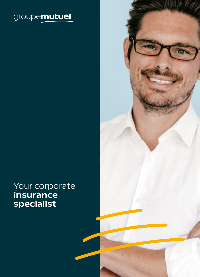## groupemutuel

## Your corporate insurance specialist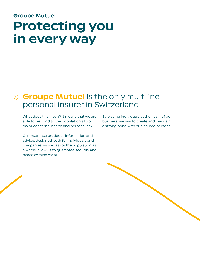#### Groupe Mutuel

# Protecting you in every way

### S Groupe Mutuel is the only multiline personal insurer in Switzerland

What does this mean? It means that we are able to respond to the population's two major concerns : health and personal risk.

Our insurance products, information and advice, designed both for individuals and companies, as well as for the population as a whole, allow us to guarantee security and peace of mind for all.

By placing individuals at the heart of our business, we aim to create and maintain a strong bond with our insured persons.

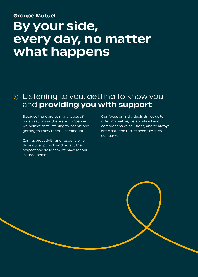#### Groupe Mutuel

# By your side, every day, no matter what happens

### Listening to you, getting to know you and providing you with support

Because there are as many types of organisations as there are companies, we believe that listening to people and getting to know them is paramount.

Caring, proactivity and responsibility drive our approach and reflect the respect and solidarity we have for our insured persons.

Our focus on individuals drives us to offer innovative, personalised and comprehensive solutions, and to always anticipate the future needs of each company.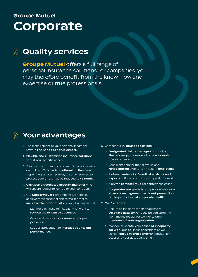## Groupe Mutuel **Corporate**

### Quality services

**Groupe Mutuel offers a full range of** personal insurance solutions for companies. you may therefore benefit from the know-how and expertise of true professionals.

#### $\Diamond$  Your advantages

- 1. The management of your personal insurance rests in the hands of a true expert.
- 2. Flexible and customised insurance solutions to suit your specific needs.
- 3. Dynamic and interactive commercial services with our online offers platform ePremium Business. Depending on your request, the time required to process your offers may be reduced to 48 hours.
- 4. Call upon a dedicated account manager who will ensure regular follow-up of your contracts.
- 5. Our **CorporateCare** programme will help you achieve three essential objectives in order to increase the productivity of your human capital:
	- Monitor each case of incapacity for work to reduce the length of absences
	- o Contain absences to increase employee presence
	- <sup>o</sup> Support prevention to **increase your teams'** performance.
- 6. Contact our in-house specialists:
	- o **Designated claims managers** to monitor the recovery process and return to work of absent employees
	- Case managers for the follow-up and rehabilitation of long-term absent employees
	- A réseau network of medical advisors and experts in the assessment of capacity for work
	- A unit to combat fraud for contentious cases
	- o **CorporateCare** specialists to provide advice on absence management, accident prevention or the promotion of corporate health.
- 7. Our **Extranets:** 
	- Secure online notification of absences. Delegate data entry to the person suffering from the incapacity for work or to other members of your organisation.
	- o Manage efficiently your cases of incapacity for work due to illness or accident as well as your **occupational benefits'** contract by accessing your data at any time.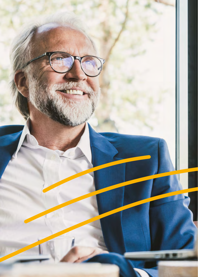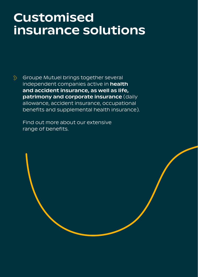# Customised insurance solutions

Groupe Mutuel brings together several  $\sum$ independent companies active in health and accident insurance, as well as life, patrimony and corporate insurance (daily allowance, accident insurance, occupational benefits and supplemental health insurance ).

Find out more about our extensive range of benefits.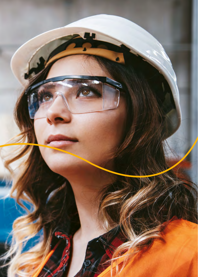